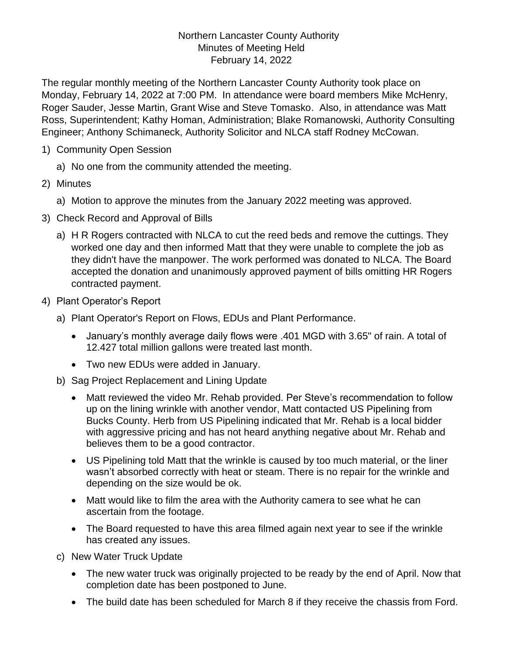## Northern Lancaster County Authority Minutes of Meeting Held February 14, 2022

The regular monthly meeting of the Northern Lancaster County Authority took place on Monday, February 14, 2022 at 7:00 PM. In attendance were board members Mike McHenry, Roger Sauder, Jesse Martin, Grant Wise and Steve Tomasko. Also, in attendance was Matt Ross, Superintendent; Kathy Homan, Administration; Blake Romanowski, Authority Consulting Engineer; Anthony Schimaneck, Authority Solicitor and NLCA staff Rodney McCowan.

- 1) Community Open Session
	- a) No one from the community attended the meeting.
- 2) Minutes
	- a) Motion to approve the minutes from the January 2022 meeting was approved.
- 3) Check Record and Approval of Bills
	- a) H R Rogers contracted with NLCA to cut the reed beds and remove the cuttings. They worked one day and then informed Matt that they were unable to complete the job as they didn't have the manpower. The work performed was donated to NLCA. The Board accepted the donation and unanimously approved payment of bills omitting HR Rogers contracted payment.
- 4) Plant Operator's Report
	- a) Plant Operator's Report on Flows, EDUs and Plant Performance.
		- January's monthly average daily flows were .401 MGD with 3.65" of rain. A total of 12.427 total million gallons were treated last month.
		- Two new EDUs were added in January.
	- b) Sag Project Replacement and Lining Update
		- Matt reviewed the video Mr. Rehab provided. Per Steve's recommendation to follow up on the lining wrinkle with another vendor, Matt contacted US Pipelining from Bucks County. Herb from US Pipelining indicated that Mr. Rehab is a local bidder with aggressive pricing and has not heard anything negative about Mr. Rehab and believes them to be a good contractor.
		- US Pipelining told Matt that the wrinkle is caused by too much material, or the liner wasn't absorbed correctly with heat or steam. There is no repair for the wrinkle and depending on the size would be ok.
		- Matt would like to film the area with the Authority camera to see what he can ascertain from the footage.
		- The Board requested to have this area filmed again next year to see if the wrinkle has created any issues.
	- c) New Water Truck Update
		- The new water truck was originally projected to be ready by the end of April. Now that completion date has been postponed to June.
		- The build date has been scheduled for March 8 if they receive the chassis from Ford.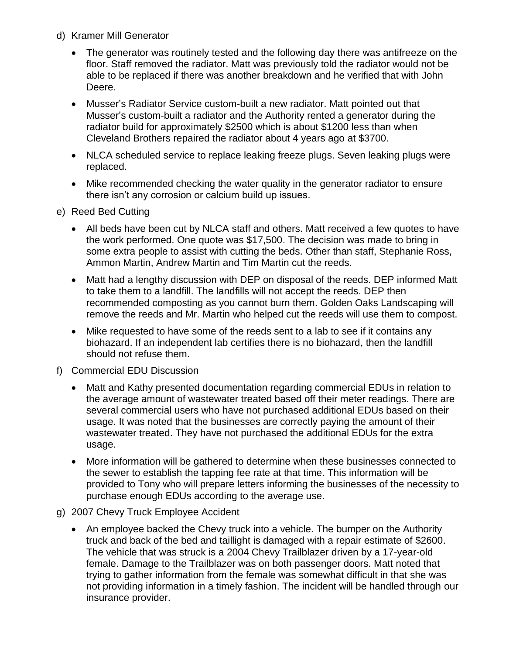- d) Kramer Mill Generator
	- The generator was routinely tested and the following day there was antifreeze on the floor. Staff removed the radiator. Matt was previously told the radiator would not be able to be replaced if there was another breakdown and he verified that with John Deere.
	- Musser's Radiator Service custom-built a new radiator. Matt pointed out that Musser's custom-built a radiator and the Authority rented a generator during the radiator build for approximately \$2500 which is about \$1200 less than when Cleveland Brothers repaired the radiator about 4 years ago at \$3700.
	- NLCA scheduled service to replace leaking freeze plugs. Seven leaking plugs were replaced.
	- Mike recommended checking the water quality in the generator radiator to ensure there isn't any corrosion or calcium build up issues.
- e) Reed Bed Cutting
	- All beds have been cut by NLCA staff and others. Matt received a few quotes to have the work performed. One quote was \$17,500. The decision was made to bring in some extra people to assist with cutting the beds. Other than staff, Stephanie Ross, Ammon Martin, Andrew Martin and Tim Martin cut the reeds.
	- Matt had a lengthy discussion with DEP on disposal of the reeds. DEP informed Matt to take them to a landfill. The landfills will not accept the reeds. DEP then recommended composting as you cannot burn them. Golden Oaks Landscaping will remove the reeds and Mr. Martin who helped cut the reeds will use them to compost.
	- Mike requested to have some of the reeds sent to a lab to see if it contains any biohazard. If an independent lab certifies there is no biohazard, then the landfill should not refuse them.
- f) Commercial EDU Discussion
	- Matt and Kathy presented documentation regarding commercial EDUs in relation to the average amount of wastewater treated based off their meter readings. There are several commercial users who have not purchased additional EDUs based on their usage. It was noted that the businesses are correctly paying the amount of their wastewater treated. They have not purchased the additional EDUs for the extra usage.
	- More information will be gathered to determine when these businesses connected to the sewer to establish the tapping fee rate at that time. This information will be provided to Tony who will prepare letters informing the businesses of the necessity to purchase enough EDUs according to the average use.
- g) 2007 Chevy Truck Employee Accident
	- An employee backed the Chevy truck into a vehicle. The bumper on the Authority truck and back of the bed and taillight is damaged with a repair estimate of \$2600. The vehicle that was struck is a 2004 Chevy Trailblazer driven by a 17-year-old female. Damage to the Trailblazer was on both passenger doors. Matt noted that trying to gather information from the female was somewhat difficult in that she was not providing information in a timely fashion. The incident will be handled through our insurance provider.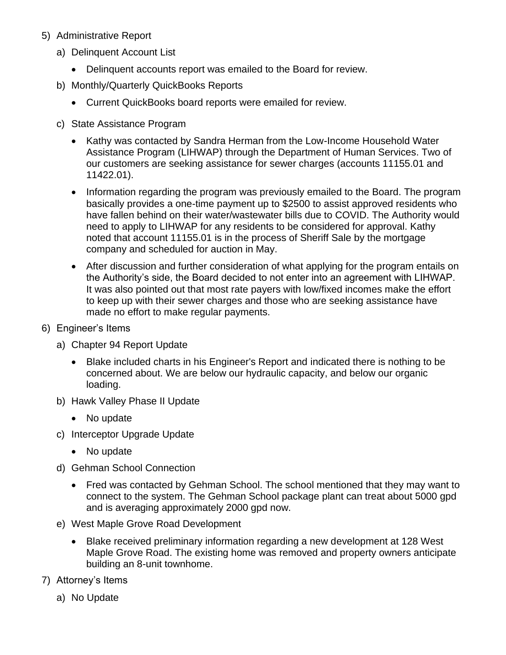- 5) Administrative Report
	- a) Delinquent Account List
		- Delinquent accounts report was emailed to the Board for review.
	- b) Monthly/Quarterly QuickBooks Reports
		- Current QuickBooks board reports were emailed for review.
	- c) State Assistance Program
		- Kathy was contacted by Sandra Herman from the Low-Income Household Water Assistance Program (LIHWAP) through the Department of Human Services. Two of our customers are seeking assistance for sewer charges (accounts 11155.01 and 11422.01).
		- Information regarding the program was previously emailed to the Board. The program basically provides a one-time payment up to \$2500 to assist approved residents who have fallen behind on their water/wastewater bills due to COVID. The Authority would need to apply to LIHWAP for any residents to be considered for approval. Kathy noted that account 11155.01 is in the process of Sheriff Sale by the mortgage company and scheduled for auction in May.
		- After discussion and further consideration of what applying for the program entails on the Authority's side, the Board decided to not enter into an agreement with LIHWAP. It was also pointed out that most rate payers with low/fixed incomes make the effort to keep up with their sewer charges and those who are seeking assistance have made no effort to make regular payments.
- 6) Engineer's Items
	- a) Chapter 94 Report Update
		- Blake included charts in his Engineer's Report and indicated there is nothing to be concerned about. We are below our hydraulic capacity, and below our organic loading.
	- b) Hawk Valley Phase II Update
		- No update
	- c) Interceptor Upgrade Update
		- No update
	- d) Gehman School Connection
		- Fred was contacted by Gehman School. The school mentioned that they may want to connect to the system. The Gehman School package plant can treat about 5000 gpd and is averaging approximately 2000 gpd now.
	- e) West Maple Grove Road Development
		- Blake received preliminary information regarding a new development at 128 West Maple Grove Road. The existing home was removed and property owners anticipate building an 8-unit townhome.
- 7) Attorney's Items
	- a) No Update